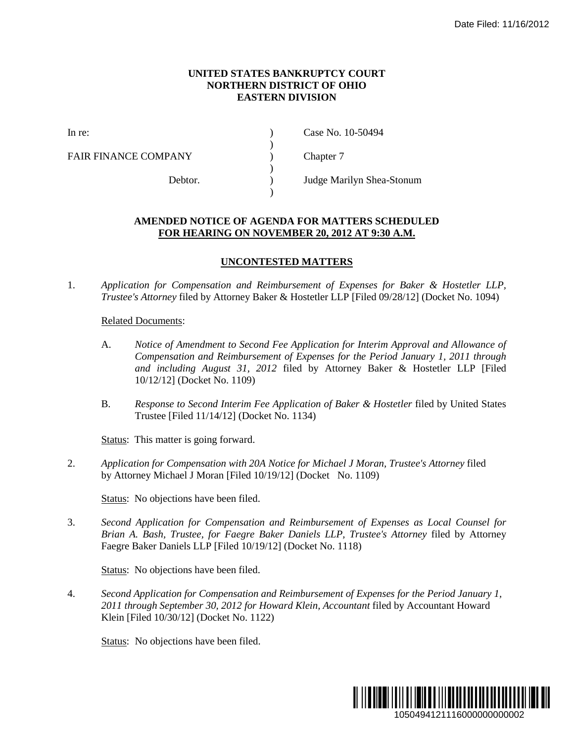## **UNITED STATES BANKRUPTCY COURT NORTHERN DISTRICT OF OHIO EASTERN DIVISION**

)

 $\lambda$ 

)

FAIR FINANCE COMPANY (and  $\Gamma$ ) Chapter 7

In re: (a) Case No. 10-50494

Debtor. ) Judge Marilyn Shea-Stonum

## **AMENDED NOTICE OF AGENDA FOR MATTERS SCHEDULED FOR HEARING ON NOVEMBER 20, 2012 AT 9:30 A.M.**

## **UNCONTESTED MATTERS**

1. *Application for Compensation and Reimbursement of Expenses for Baker & Hostetler LLP, Trustee's Attorney* filed by Attorney Baker & Hostetler LLP [Filed 09/28/12] (Docket No. 1094)

## Related Documents:

- A. *Notice of Amendment to Second Fee Application for Interim Approval and Allowance of Compensation and Reimbursement of Expenses for the Period January 1, 2011 through and including August 31, 2012* filed by Attorney Baker & Hostetler LLP [Filed 10/12/12] (Docket No. 1109)
- B. *Response to Second Interim Fee Application of Baker & Hostetler* filed by United States Trustee [Filed 11/14/12] (Docket No. 1134)

Status: This matter is going forward.

2. *Application for Compensation with 20A Notice for Michael J Moran, Trustee's Attorney* filed by Attorney Michael J Moran [Filed 10/19/12] (Docket No. 1109)

Status: No objections have been filed.

3. *Second Application for Compensation and Reimbursement of Expenses as Local Counsel for Brian A. Bash, Trustee, for Faegre Baker Daniels LLP, Trustee's Attorney* filed by Attorney Faegre Baker Daniels LLP [Filed 10/19/12] (Docket No. 1118)

Status: No objections have been filed.

4. *Second Application for Compensation and Reimbursement of Expenses for the Period January 1, 2011 through September 30, 2012 for Howard Klein, Accountant* filed by Accountant Howard Klein [Filed 10/30/12] (Docket No. 1122)

Status: No objections have been filed.